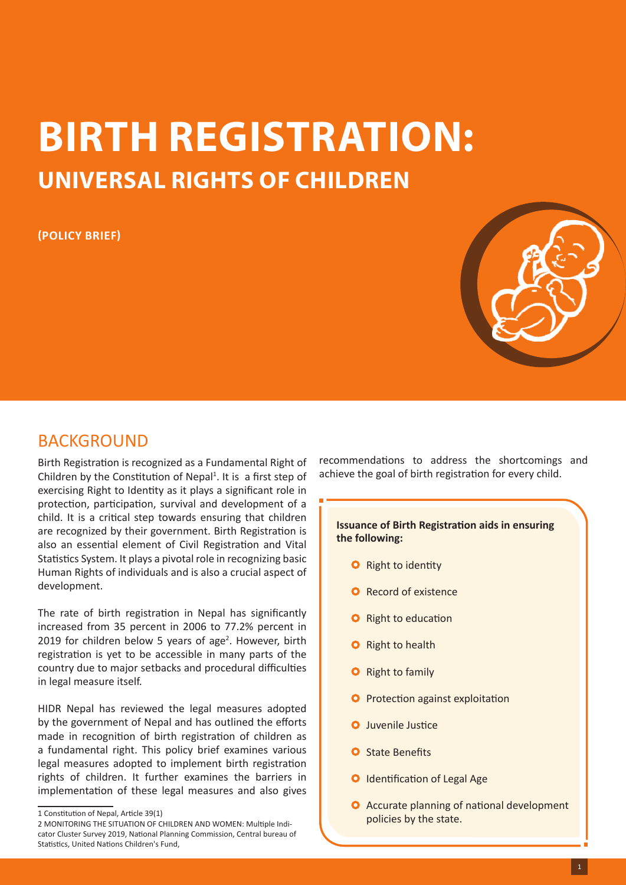# **BIRTH REGISTRATION: UNIVERSAL RIGHTS OF CHILDREN**

## **(POLICY BRIEF)**



# BACKGROUND

Birth Registration is recognized as a Fundamental Right of Children by the Constitution of Nepal $1$ . It is a first step of exercising Right to Identity as it plays a significant role in protection, participation, survival and development of a child. It is a critical step towards ensuring that children are recognized by their government. Birth Registration is also an essential element of Civil Registration and Vital Statistics System. It plays a pivotal role in recognizing basic Human Rights of individuals and is also a crucial aspect of development.

The rate of birth registration in Nepal has significantly increased from 35 percent in 2006 to 77.2% percent in 2019 for children below 5 years of age<sup>2</sup>. However, birth registration is yet to be accessible in many parts of the country due to major setbacks and procedural difficulties in legal measure itself.

HIDR Nepal has reviewed the legal measures adopted by the government of Nepal and has outlined the efforts made in recognition of birth registration of children as a fundamental right. This policy brief examines various legal measures adopted to implement birth registration rights of children. It further examines the barriers in implementation of these legal measures and also gives

recommendations to address the shortcomings and achieve the goal of birth registration for every child.

#### **Issuance of Birth Registration aids in ensuring the following:**

- **O** Right to identity
- **O** Record of existence
- **O** Right to education
- **O** Right to health
- **O** Right to family
- **O** Protection against exploitation
- **O** Juvenile Justice
- **O** State Benefits
- **O** Identification of Legal Age
- **O** Accurate planning of national development policies by the state.

<sup>1</sup> Constitution of Nepal, Article 39(1)

<sup>2</sup> MONITORING THE SITUATION OF CHILDREN AND WOMEN: Multiple Indicator Cluster Survey 2019, National Planning Commission, Central bureau of Statistics, United Nations Children's Fund,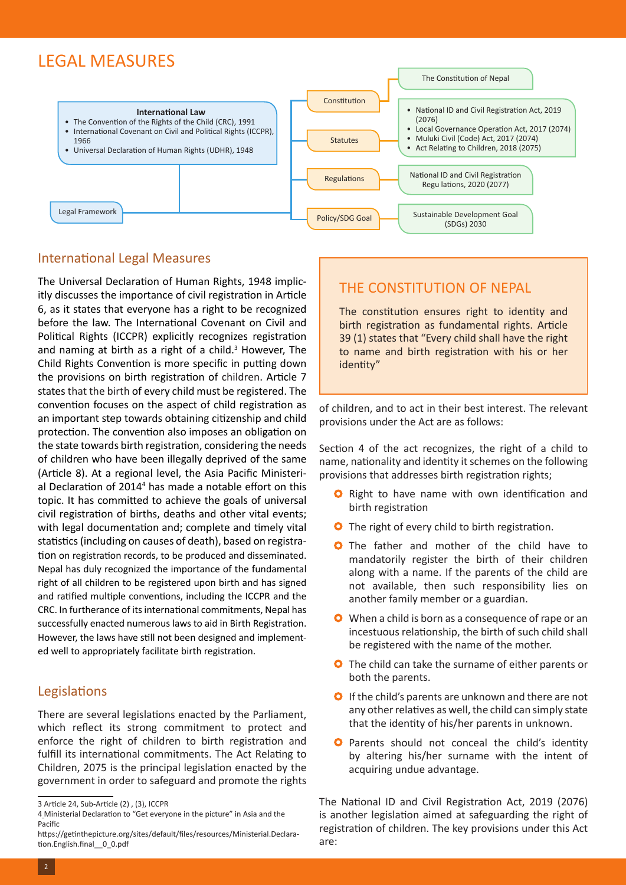# LEGAL MEASURES



## International Legal Measures

The Universal Declaration of Human Rights, 1948 implicitly discusses the importance of civil registration in Article 6, as it states that everyone has a right to be recognized before the law. The International Covenant on Civil and Political Rights (ICCPR) explicitly recognizes registration and naming at birth as a right of a child. $3$  However, The Child Rights Convention is more specific in putting down the provisions on birth registration of children. Article 7 states that the birth of every child must be registered. The convention focuses on the aspect of child registration as an important step towards obtaining citizenship and child protection. The convention also imposes an obligation on the state towards birth registration, considering the needs of children who have been illegally deprived of the same (Article 8). At a regional level, the Asia Pacific Ministerial Declaration of 2014<sup>4</sup> has made a notable effort on this topic. It has committed to achieve the goals of universal civil registration of births, deaths and other vital events; with legal documentation and; complete and timely vital statistics (including on causes of death), based on registration on registration records, to be produced and disseminated. Nepal has duly recognized the importance of the fundamental right of all children to be registered upon birth and has signed and ratified multiple conventions, including the ICCPR and the CRC. In furtherance of its international commitments, Nepal has successfully enacted numerous laws to aid in Birth Registration. However, the laws have still not been designed and implemented well to appropriately facilitate birth registration.

# Legislations

There are several legislations enacted by the Parliament, which reflect its strong commitment to protect and enforce the right of children to birth registration and fulfill its international commitments. The Act Relating to Children, 2075 is the principal legislation enacted by the government in order to safeguard and promote the rights

# THE CONSTITUTION OF NEPAL

The constitution ensures right to identity and birth registration as fundamental rights. Article 39 (1) states that "Every child shall have the right to name and birth registration with his or her identity"

of children, and to act in their best interest. The relevant provisions under the Act are as follows:

Section 4 of the act recognizes, the right of a child to name, nationality and identity it schemes on the following provisions that addresses birth registration rights;

- **O** Right to have name with own identification and birth registration
- **O** The right of every child to birth registration.
- **O** The father and mother of the child have to mandatorily register the birth of their children along with a name. If the parents of the child are not available, then such responsibility lies on another family member or a guardian.
- When a child is born as a consequence of rape or an incestuous relationship, the birth of such child shall be registered with the name of the mother.
- **O** The child can take the surname of either parents or both the parents.
- **O** If the child's parents are unknown and there are not any other relatives as well, the child can simply state that the identity of his/her parents in unknown.
- **O** Parents should not conceal the child's identity by altering his/her surname with the intent of acquiring undue advantage.

The National ID and Civil Registration Act, 2019 (2076) is another legislation aimed at safeguarding the right of registration of children. The key provisions under this Act are:

<sup>3</sup> Article 24, Sub-Article (2) , (3), ICCPR

<sup>4</sup> Ministerial Declaration to "Get everyone in the picture" in Asia and the Pacific

https://getinthepicture.org/sites/default/files/resources/Ministerial.Declaration.English.final\_\_0\_0.pdf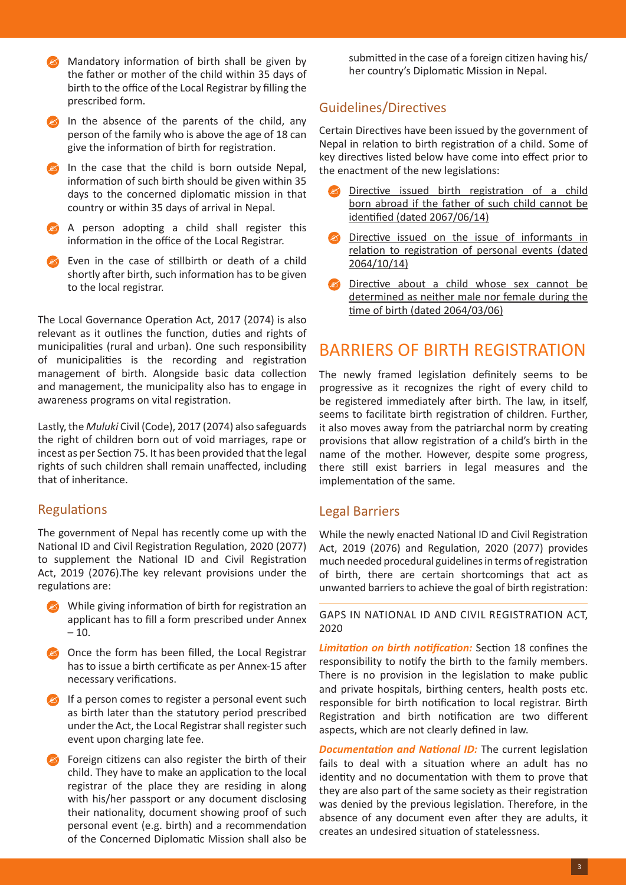Mandatory information of birth shall be given by the father or mother of the child within 35 days of birth to the office of the Local Registrar by filling the prescribed form.

In the absence of the parents of the child, any person of the family who is above the age of 18 can give the information of birth for registration.

- In the case that the child is born outside Nepal, information of such birth should be given within 35 days to the concerned diplomatic mission in that country or within 35 days of arrival in Nepal.
- A person adopting a child shall register this information in the office of the Local Registrar.
- Even in the case of stillbirth or death of a child shortly after birth, such information has to be given to the local registrar.

The Local Governance Operation Act, 2017 (2074) is also relevant as it outlines the function, duties and rights of municipalities (rural and urban). One such responsibility of municipalities is the recording and registration management of birth. Alongside basic data collection and management, the municipality also has to engage in awareness programs on vital registration.

Lastly, the *Muluki* Civil (Code), 2017 (2074) also safeguards the right of children born out of void marriages, rape or incest as per Section 75. It has been provided that the legal rights of such children shall remain unaffected, including that of inheritance.

## **Regulations**

The government of Nepal has recently come up with the National ID and Civil Registration Regulation, 2020 (2077) to supplement the National ID and Civil Registration Act, 2019 (2076).The key relevant provisions under the regulations are:

- While giving information of birth for registration an applicant has to fill a form prescribed under Annex  $-10.$
- Once the form has been filled, the Local Registrar has to issue a birth certificate as per Annex-15 after necessary verifications.
- $\Box$  If a person comes to register a personal event such as birth later than the statutory period prescribed under the Act, the Local Registrar shall register such event upon charging late fee.
- Foreign citizens can also register the birth of their child. They have to make an application to the local registrar of the place they are residing in along with his/her passport or any document disclosing their nationality, document showing proof of such personal event (e.g. birth) and a recommendation of the Concerned Diplomatic Mission shall also be

submitted in the case of a foreign citizen having his/ her country's Diplomatic Mission in Nepal.

## Guidelines/Directives

Certain Directives have been issued by the government of Nepal in relation to birth registration of a child. Some of key directives listed below have come into effect prior to the enactment of the new legislations:

- Directive issued birth registration of a child born abroad if the father of such child cannot be identified (dated 2067/06/14)
- Directive issued on the issue of informants in relation to registration of personal events (dated 2064/10/14)
- Directive about a child whose sex cannot be determined as neither male nor female during the time of birth (dated 2064/03/06)

# BARRIERS OF BIRTH REGISTRATION

The newly framed legislation definitely seems to be progressive as it recognizes the right of every child to be registered immediately after birth. The law, in itself, seems to facilitate birth registration of children. Further, it also moves away from the patriarchal norm by creating provisions that allow registration of a child's birth in the name of the mother. However, despite some progress, there still exist barriers in legal measures and the implementation of the same.

## Legal Barriers

While the newly enacted National ID and Civil Registration Act, 2019 (2076) and Regulation, 2020 (2077) provides much needed procedural guidelines in terms of registration of birth, there are certain shortcomings that act as unwanted barriers to achieve the goal of birth registration:

GAPS IN NATIONAL ID AND CIVIL REGISTRATION ACT, 2020

*Limitation on birth notification:* Section 18 confines the responsibility to notify the birth to the family members. There is no provision in the legislation to make public and private hospitals, birthing centers, health posts etc. responsible for birth notification to local registrar. Birth Registration and birth notification are two different aspects, which are not clearly defined in law.

*Documentation and National ID:* The current legislation fails to deal with a situation where an adult has no identity and no documentation with them to prove that they are also part of the same society as their registration was denied by the previous legislation. Therefore, in the absence of any document even after they are adults, it creates an undesired situation of statelessness.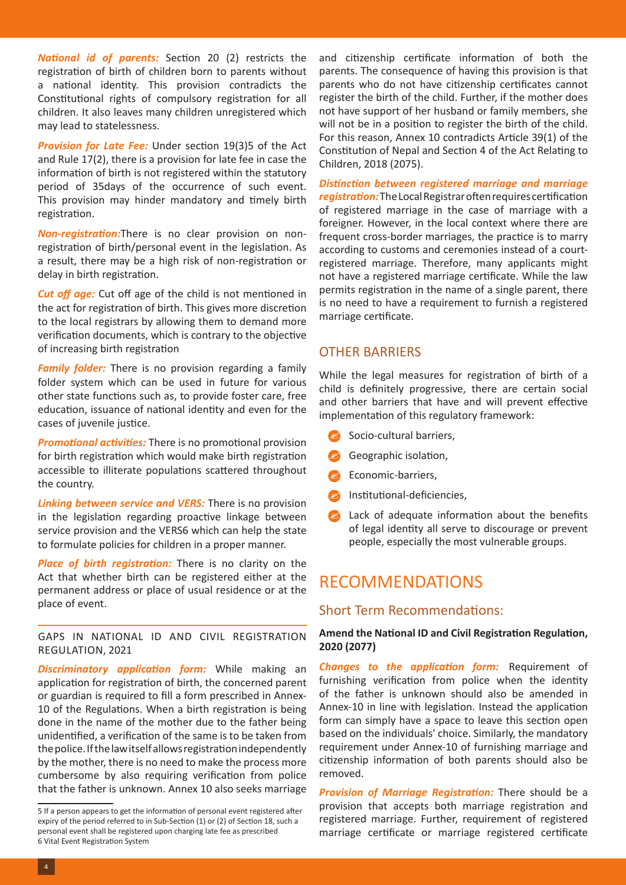*National id of parents:* Section 20 (2) restricts the registration of birth of children born to parents without a national identity. This provision contradicts the Constitutional rights of compulsory registration for all children. It also leaves many children unregistered which may lead to statelessness.

*Provision for Late Fee:* Under section 19(3)5 of the Act and Rule 17(2), there is a provision for late fee in case the information of birth is not registered within the statutory period of 35days of the occurrence of such event. This provision may hinder mandatory and timely birth registration.

*Non-registration:*There is no clear provision on nonregistration of birth/personal event in the legislation. As a result, there may be a high risk of non-registration or delay in birth registration.

*Cut off age:* Cut off age of the child is not mentioned in the act for registration of birth. This gives more discretion to the local registrars by allowing them to demand more verification documents, which is contrary to the objective of increasing birth registration

*Family folder:* There is no provision regarding a family folder system which can be used in future for various other state functions such as, to provide foster care, free education, issuance of national identity and even for the cases of juvenile justice.

*Promotional activities:* There is no promotional provision for birth registration which would make birth registration accessible to illiterate populations scattered throughout the country.

*Linking between service and VERS:* There is no provision in the legislation regarding proactive linkage between service provision and the VERS6 which can help the state to formulate policies for children in a proper manner.

*Place of birth registration:* There is no clarity on the Act that whether birth can be registered either at the permanent address or place of usual residence or at the place of event.

#### GAPS IN NATIONAL ID AND CIVIL REGISTRATION REGULATION, 2021

*Discriminatory application form:* While making an application for registration of birth, the concerned parent or guardian is required to fill a form prescribed in Annex-10 of the Regulations. When a birth registration is being done in the name of the mother due to the father being unidentified, a verification of the same is to be taken from the police. If the law itself allows registration independently by the mother, there is no need to make the process more cumbersome by also requiring verification from police that the father is unknown. Annex 10 also seeks marriage and citizenship certificate information of both the parents. The consequence of having this provision is that parents who do not have citizenship certificates cannot register the birth of the child. Further, if the mother does not have support of her husband or family members, she will not be in a position to register the birth of the child. For this reason, Annex 10 contradicts Article 39(1) of the Constitution of Nepal and Section 4 of the Act Relating to Children, 2018 (2075).

*Distinction between registered marriage and marriage registration:* The Local Registrar often requires certification of registered marriage in the case of marriage with a foreigner. However, in the local context where there are frequent cross-border marriages, the practice is to marry according to customs and ceremonies instead of a courtregistered marriage. Therefore, many applicants might not have a registered marriage certificate. While the law permits registration in the name of a single parent, there is no need to have a requirement to furnish a registered marriage certificate.

## OTHER BARRIERS

While the legal measures for registration of birth of a child is definitely progressive, there are certain social and other barriers that have and will prevent effective implementation of this regulatory framework:

- Socio-cultural barriers,
- Geographic isolation,
- Economic-barriers,
- Institutional-deficiencies,
- Lack of adequate information about the benefits of legal identity all serve to discourage or prevent people, especially the most vulnerable groups.

# RECOMMENDATIONS

#### Short Term Recommendations:

#### **Amend the National ID and Civil Registration Regulation, 2020 (2077)**

*Changes to the application form:* Requirement of furnishing verification from police when the identity of the father is unknown should also be amended in Annex-10 in line with legislation. Instead the application form can simply have a space to leave this section open based on the individuals' choice. Similarly, the mandatory requirement under Annex-10 of furnishing marriage and citizenship information of both parents should also be removed.

*Provision of Marriage Registration:* There should be a provision that accepts both marriage registration and registered marriage. Further, requirement of registered marriage certificate or marriage registered certificate

<sup>5</sup> If a person appears to get the information of personal event registered after expiry of the period referred to in Sub-Section (1) or (2) of Section 18, such a personal event shall be registered upon charging late fee as prescribed 6 Vital Event Registration System